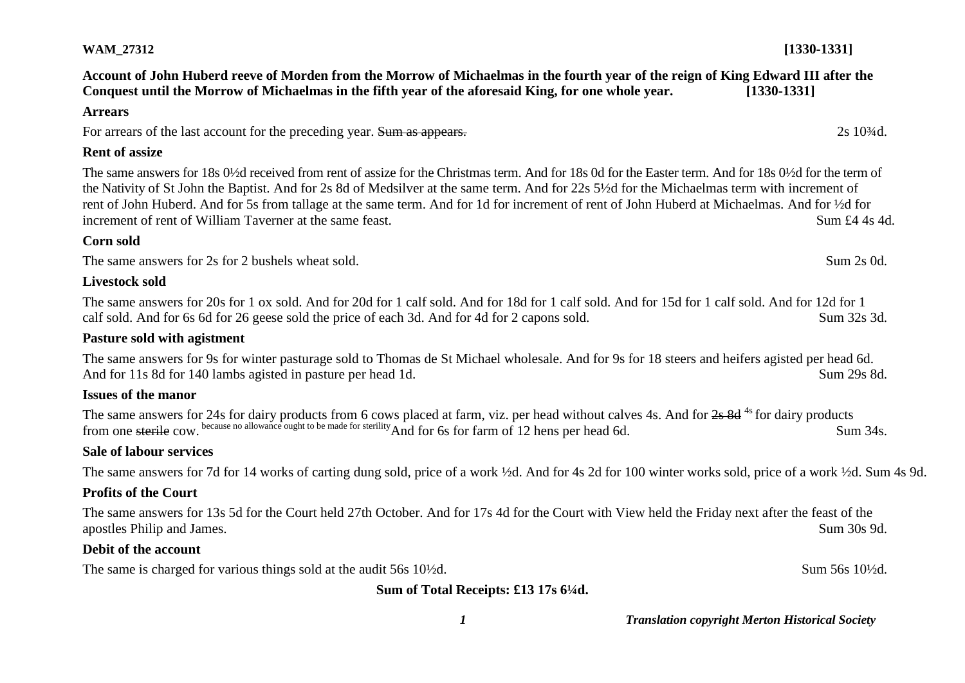**Account of John Huberd reeve of Morden from the Morrow of Michaelmas in the fourth year of the reign of King Edward III after the Conquest until the Morrow of Michaelmas in the fifth year of the aforesaid King, for one whole year. [1330-1331]**

#### **Arrears**

For arrears of the last account for the preceding year. Sum as appears. 2s 10<sup>3</sup>/<sub>4d</sub>. 2s 10<sup>3</sup>/<sub>4d</sub>.

#### **Rent of assize**

The same answers for 18s 0½d received from rent of assize for the Christmas term. And for 18s 0d for the Easter term. And for 18s 0½d for the term of the Nativity of St John the Baptist. And for 2s 8d of Medsilver at the same term. And for 22s 5½d for the Michaelmas term with increment of rent of John Huberd. And for 5s from tallage at the same term. And for 1d for increment of rent of John Huberd at Michaelmas. And for ½d for increment of rent of William Taverner at the same feast. Sum £4.4s 4d.

## **Corn sold**

The same answers for 2s for 2 bushels wheat sold. Sum 2s 0d. Sum 2s 0d. Sum 2s 0d.

## **Livestock sold**

The same answers for 20s for 1 ox sold. And for 20d for 1 calf sold. And for 18d for 1 calf sold. And for 15d for 1 calf sold. And for 12d for 1 calf sold. And for 6s 6d for 26 geese sold the price of each 3d. And for 4d for 2 capons sold. Sum 32s 3d.

#### **Pasture sold with agistment**

The same answers for 9s for winter pasturage sold to Thomas de St Michael wholesale. And for 9s for 18 steers and heifers agisted per head 6d. And for 11s 8d for 140 lambs agisted in pasture per head 1d. Sum 29s 8d.

#### **Issues of the manor**

The same answers for 24s for dairy products from 6 cows placed at farm, viz. per head without calves 4s. And for 2s 8d<sup>4s</sup> for dairy products from one sterile cow. because no allowance ought to be made for sterility And for 6s for farm of 12 hens per head 6d. Sum 34s.

#### **Sale of labour services**

The same answers for 7d for 14 works of carting dung sold, price of a work ½d. And for 4s 2d for 100 winter works sold, price of a work ½d. Sum 4s 9d.

#### **Profits of the Court**

The same answers for 13s 5d for the Court held 27th October. And for 17s 4d for the Court with View held the Friday next after the feast of the apostles Philip and James. Sum 30s 9d.

## **Debit of the account**

The same is charged for various things sold at the audit 56s 10½d. Sum 56s 10½d.

**Sum of Total Receipts: £13 17s 6¼d.**

*1 Translation copyright Merton Historical Society*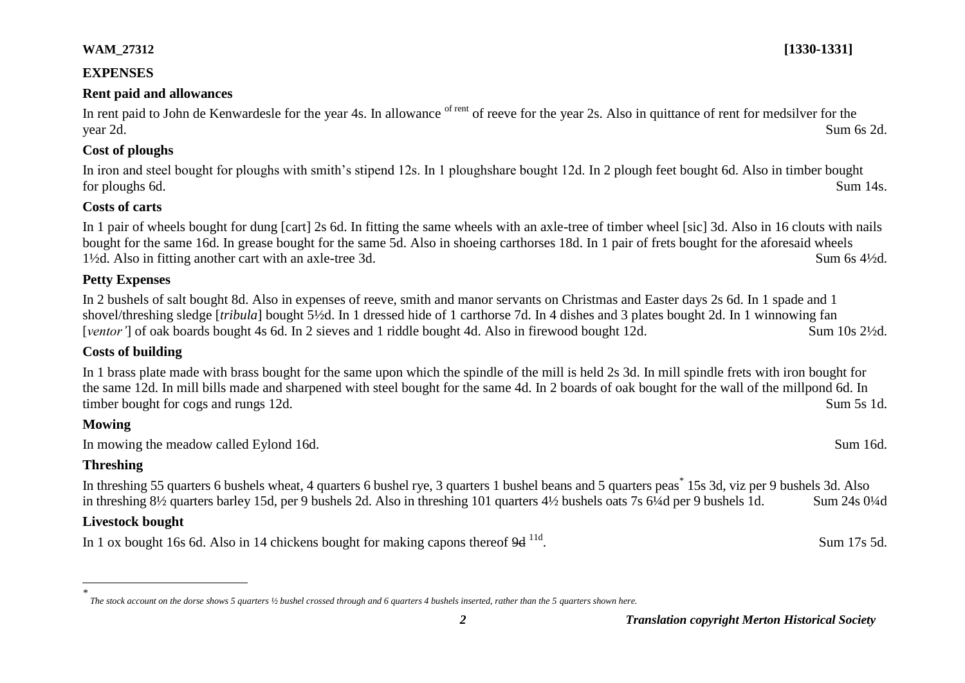#### **EXPENSES**

#### **Rent paid and allowances**

In rent paid to John de Kenwardesle for the year 4s. In allowance of rent of reeve for the year 2s. Also in quittance of rent for medsilver for the year 2d. Sum 6s 2d.

#### **Cost of ploughs**

In iron and steel bought for ploughs with smith's stipend 12s. In 1 ploughshare bought 12d. In 2 plough feet bought 6d. Also in timber bought for ploughs 6d. Sum 14s.

#### **Costs of carts**

In 1 pair of wheels bought for dung [cart] 2s 6d. In fitting the same wheels with an axle-tree of timber wheel [sic] 3d. Also in 16 clouts with nails bought for the same 16d. In grease bought for the same 5d. Also in shoeing carthorses 18d. In 1 pair of frets bought for the aforesaid wheels 1½d. Also in fitting another cart with an axle-tree 3d. Sum 6s 4½d.

## **Petty Expenses**

In 2 bushels of salt bought 8d. Also in expenses of reeve, smith and manor servants on Christmas and Easter days 2s 6d. In 1 spade and 1 shovel/threshing sledge [*tribula*] bought 5½d. In 1 dressed hide of 1 carthorse 7d. In 4 dishes and 3 plates bought 2d. In 1 winnowing fan [*ventor'*] of oak boards bought 4s 6d. In 2 sieves and 1 riddle bought 4d. Also in firewood bought 12d. Sum 10s 2½d.

## **Costs of building**

In 1 brass plate made with brass bought for the same upon which the spindle of the mill is held 2s 3d. In mill spindle frets with iron bought for the same 12d. In mill bills made and sharpened with steel bought for the same 4d. In 2 boards of oak bought for the wall of the millpond 6d. In timber bought for cogs and rungs 12d. Sum 5s 1d.

## **Mowing**

In mowing the meadow called Eylond 16d. Sum 16d.

## **Threshing**

 $\overline{a}$ 

In threshing 55 quarters 6 bushels wheat, 4 quarters 6 bushel rye, 3 quarters 1 bushel beans and 5 quarters peas<sup>\*</sup> 15s 3d, viz per 9 bushels 3d. Also in threshing 8½ quarters barley 15d, per 9 bushels 2d. Also in threshing 101 quarters 4½ bushels oats 7s 6¼d per 9 bushels 1d. Sum 24s 0¼d

#### **Livestock bought**

In 1 ox bought 16s 6d. Also in 14 chickens bought for making capons thereof  $9d<sup>11d</sup>$ .

*\* The stock account on the dorse shows 5 quarters ½ bushel crossed through and 6 quarters 4 bushels inserted, rather than the 5 quarters shown here.*

. Sum 17s 5d.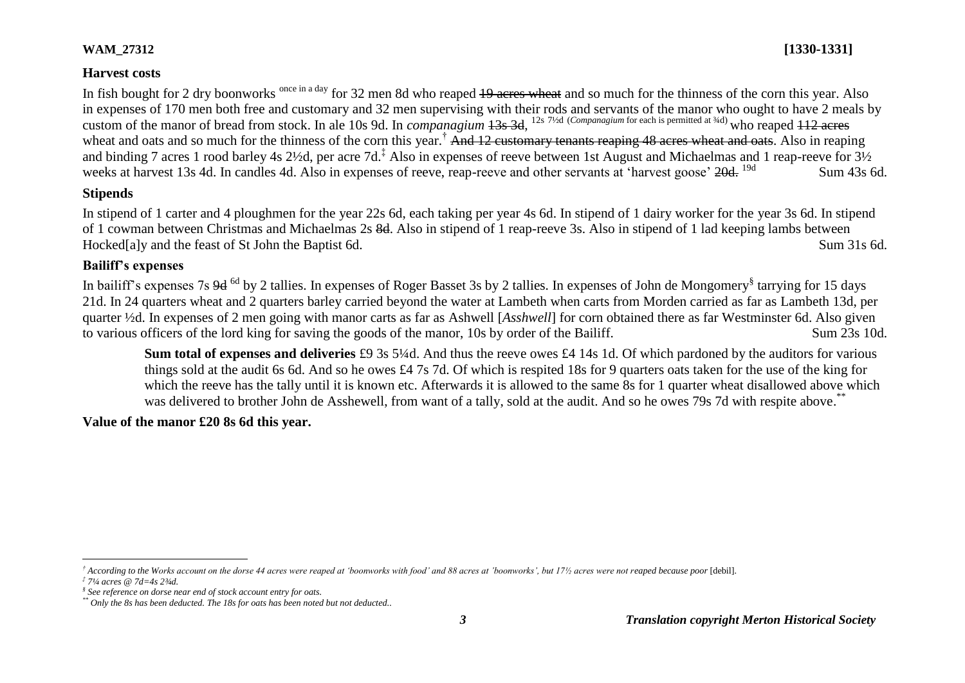# **Harvest costs**

In fish bought for 2 dry boonworks <sup>once in a day</sup> for 32 men 8d who reaped <del>19 acres wheat</del> and so much for the thinness of the corn this year. Also in expenses of 170 men both free and customary and 32 men supervising with their rods and servants of the manor who ought to have 2 meals by custom of the manor of bread from stock. In ale 10s 9d. In *companagium* 13s 3d, 12s 7½d (*Companagium* for each is permitted at ¾d) who reaped 112 acres wheat and oats and so much for the thinness of the corn this year.<sup>†</sup> And 12 customary tenants reaping 48 acres wheat and oats. Also in reaping and binding 7 acres 1 rood barley 4s 2½d, per acre 7d.<sup>‡</sup> Also in expenses of reeve between 1st August and Michaelmas and 1 reap-reeve for 3½ weeks at harvest 13s 4d. In candles 4d. Also in expenses of reeve, reap-reeve and other servants at 'harvest goose' <del>20d.</del> <sup>19d</sup> Sum 43s 6d.

## **Stipends**

In stipend of 1 carter and 4 ploughmen for the year 22s 6d, each taking per year 4s 6d. In stipend of 1 dairy worker for the year 3s 6d. In stipend of 1 cowman between Christmas and Michaelmas 2s 8d. Also in stipend of 1 reap-reeve 3s. Also in stipend of 1 lad keeping lambs between Hocked[a]y and the feast of St John the Baptist 6d. Sum 31s 6d.

## **Bailiff's expenses**

In bailiff's expenses 7s 9d <sup>6d</sup> by 2 tallies. In expenses of Roger Basset 3s by 2 tallies. In expenses of John de Mongomery<sup>§</sup> tarrying for 15 days 21d. In 24 quarters wheat and 2 quarters barley carried beyond the water at Lambeth when carts from Morden carried as far as Lambeth 13d, per quarter ½d. In expenses of 2 men going with manor carts as far as Ashwell [*Asshwell*] for corn obtained there as far Westminster 6d. Also given to various officers of the lord king for saving the goods of the manor, 10s by order of the Bailiff. Sum 23s 10d.

**Sum total of expenses and deliveries** £9 3s 5¼d. And thus the reeve owes £4 14s 1d. Of which pardoned by the auditors for various things sold at the audit 6s 6d. And so he owes £4 7s 7d. Of which is respited 18s for 9 quarters oats taken for the use of the king for which the reeve has the tally until it is known etc. Afterwards it is allowed to the same 8s for 1 quarter wheat disallowed above which was delivered to brother John de Asshewell, from want of a tally, sold at the audit. And so he owes 79s 7d with respite above.<sup>\*\*</sup>

## **Value of the manor £20 8s 6d this year.**

 $\overline{a}$ <sup>†</sup> According to the Works account on the dorse 44 acres were reaped at 'boonworks with food' and 88 acres at 'boonworks', but 17½ acres were not reaped because poor [debil].

*<sup>‡</sup> 7¼ acres @ 7d=4s 2¾d.*

*<sup>§</sup> See reference on dorse near end of stock account entry for oats.*

*<sup>\*\*</sup> Only the 8s has been deducted. The 18s for oats has been noted but not deducted..*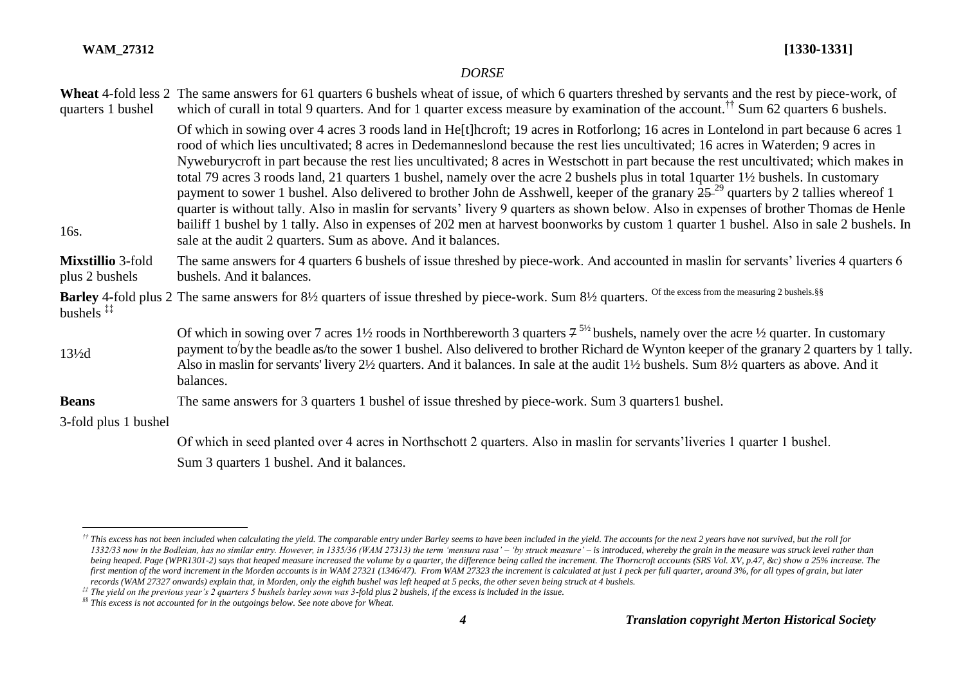$\overline{a}$ 

#### *DORSE*

| Of which in sowing over 4 acres 3 roods land in He[t]hcroft; 19 acres in Rotforlong; 16 acres in Lontelond in part because 6 acres 1<br>rood of which lies uncultivated; 8 acres in Dedemanneslond because the rest lies uncultivated; 16 acres in Waterden; 9 acres in<br>Nyweburycroft in part because the rest lies uncultivated; 8 acres in Westschott in part because the rest uncultivated; which makes in<br>total 79 acres 3 roods land, 21 quarters 1 bushel, namely over the acre 2 bushels plus in total 1 quarter 1½ bushels. In customary<br>payment to sower 1 bushel. Also delivered to brother John de Asshwell, keeper of the granary $2529$ quarters by 2 tallies whereof 1<br>16s.<br>sale at the audit 2 quarters. Sum as above. And it balances.<br>The same answers for 4 quarters 6 bushels of issue threshed by piece-work. And accounted in maslin for servants' liveries 4 quarters 6<br><b>Mixstillio</b> 3-fold<br>plus 2 bushels<br>bushels. And it balances.<br>Barley 4-fold plus 2 The same answers for 81/2 quarters of issue threshed by piece-work. Sum 81/2 quarters. Of the excess from the measuring 2 bushels. §§<br>bushels $**$<br>Of which in sowing over 7 acres 1 <sup>1</sup> / <sub>2</sub> roods in Northbereworth 3 quarters $7^{5/2}$ bushels, namely over the acre <sup>1</sup> / <sub>2</sub> quarter. In customary<br>$13\frac{1}{2}$ d<br>Also in maslin for servants' livery 2½ quarters. And it balances. In sale at the audit 1½ bushels. Sum 8½ quarters as above. And it<br>balances.<br>The same answers for 3 quarters 1 bushel of issue threshed by piece-work. Sum 3 quarters 1 bushel.<br><b>Beans</b><br>3-fold plus 1 bushel<br>Of which in seed planted over 4 acres in Northschott 2 quarters. Also in maslin for servants' liveries 1 quarter 1 bushel.<br>Sum 3 quarters 1 bushel. And it balances. | quarters 1 bushel | Wheat 4-fold less 2 The same answers for 61 quarters 6 bushels wheat of issue, of which 6 quarters threshed by servants and the rest by piece-work, of<br>which of curall in total 9 quarters. And for 1 quarter excess measure by examination of the account. <sup>††</sup> Sum 62 quarters 6 bushels. |
|--------------------------------------------------------------------------------------------------------------------------------------------------------------------------------------------------------------------------------------------------------------------------------------------------------------------------------------------------------------------------------------------------------------------------------------------------------------------------------------------------------------------------------------------------------------------------------------------------------------------------------------------------------------------------------------------------------------------------------------------------------------------------------------------------------------------------------------------------------------------------------------------------------------------------------------------------------------------------------------------------------------------------------------------------------------------------------------------------------------------------------------------------------------------------------------------------------------------------------------------------------------------------------------------------------------------------------------------------------------------------------------------------------------------------------------------------------------------------------------------------------------------------------------------------------------------------------------------------------------------------------------------------------------------------------------------------------------------------------------------------------------------------------------------------------------------------------------------------------------------------|-------------------|---------------------------------------------------------------------------------------------------------------------------------------------------------------------------------------------------------------------------------------------------------------------------------------------------------|
|                                                                                                                                                                                                                                                                                                                                                                                                                                                                                                                                                                                                                                                                                                                                                                                                                                                                                                                                                                                                                                                                                                                                                                                                                                                                                                                                                                                                                                                                                                                                                                                                                                                                                                                                                                                                                                                                          |                   | quarter is without tally. Also in maslin for servants' livery 9 quarters as shown below. Also in expenses of brother Thomas de Henle<br>bailiff 1 bushel by 1 tally. Also in expenses of 202 men at harvest boonworks by custom 1 quarter 1 bushel. Also in sale 2 bushels. In                          |
|                                                                                                                                                                                                                                                                                                                                                                                                                                                                                                                                                                                                                                                                                                                                                                                                                                                                                                                                                                                                                                                                                                                                                                                                                                                                                                                                                                                                                                                                                                                                                                                                                                                                                                                                                                                                                                                                          |                   |                                                                                                                                                                                                                                                                                                         |
|                                                                                                                                                                                                                                                                                                                                                                                                                                                                                                                                                                                                                                                                                                                                                                                                                                                                                                                                                                                                                                                                                                                                                                                                                                                                                                                                                                                                                                                                                                                                                                                                                                                                                                                                                                                                                                                                          |                   |                                                                                                                                                                                                                                                                                                         |
|                                                                                                                                                                                                                                                                                                                                                                                                                                                                                                                                                                                                                                                                                                                                                                                                                                                                                                                                                                                                                                                                                                                                                                                                                                                                                                                                                                                                                                                                                                                                                                                                                                                                                                                                                                                                                                                                          |                   | payment to'by the beadle as/to the sower 1 bushel. Also delivered to brother Richard de Wynton keeper of the granary 2 quarters by 1 tally.                                                                                                                                                             |
|                                                                                                                                                                                                                                                                                                                                                                                                                                                                                                                                                                                                                                                                                                                                                                                                                                                                                                                                                                                                                                                                                                                                                                                                                                                                                                                                                                                                                                                                                                                                                                                                                                                                                                                                                                                                                                                                          |                   |                                                                                                                                                                                                                                                                                                         |
|                                                                                                                                                                                                                                                                                                                                                                                                                                                                                                                                                                                                                                                                                                                                                                                                                                                                                                                                                                                                                                                                                                                                                                                                                                                                                                                                                                                                                                                                                                                                                                                                                                                                                                                                                                                                                                                                          |                   |                                                                                                                                                                                                                                                                                                         |
|                                                                                                                                                                                                                                                                                                                                                                                                                                                                                                                                                                                                                                                                                                                                                                                                                                                                                                                                                                                                                                                                                                                                                                                                                                                                                                                                                                                                                                                                                                                                                                                                                                                                                                                                                                                                                                                                          |                   |                                                                                                                                                                                                                                                                                                         |
|                                                                                                                                                                                                                                                                                                                                                                                                                                                                                                                                                                                                                                                                                                                                                                                                                                                                                                                                                                                                                                                                                                                                                                                                                                                                                                                                                                                                                                                                                                                                                                                                                                                                                                                                                                                                                                                                          |                   |                                                                                                                                                                                                                                                                                                         |

<sup>&</sup>lt;sup>††</sup> This excess has not been included when calculating the yield. The comparable entry under Barley seems to have been included in the yield. The accounts for the next 2 years have not survived, but the roll for 1332/33 now in the Bodleian, has no similar entry. However, in 1335/36 (WAM 27313) the term 'mensura rasa' - 'by struck measure' - is introduced, whereby the grain in the measure was struck level rather than being heaped. Page (WPR1301-2) says that heaped measure increased the volume by a quarter, the difference being called the increment. The Thorncroft accounts (SRS Vol. XV, p.47, &c) show a 25% increase. The first mention of the word increment in the Morden accounts is in WAM 27321 (1346/47). From WAM 27323 the increment is calculated at just 1 peck per full quarter, around 3%, for all types of grain, but later *records (WAM 27327 onwards) explain that, in Morden, only the eighth bushel was left heaped at 5 pecks, the other seven being struck at 4 bushels.*

*<sup>‡‡</sup> The yield on the previous year's 2 quarters 5 bushels barley sown was 3-fold plus 2 bushels, if the excess is included in the issue.* 

*<sup>§§</sup> This excess is not accounted for in the outgoings below. See note above for Wheat.*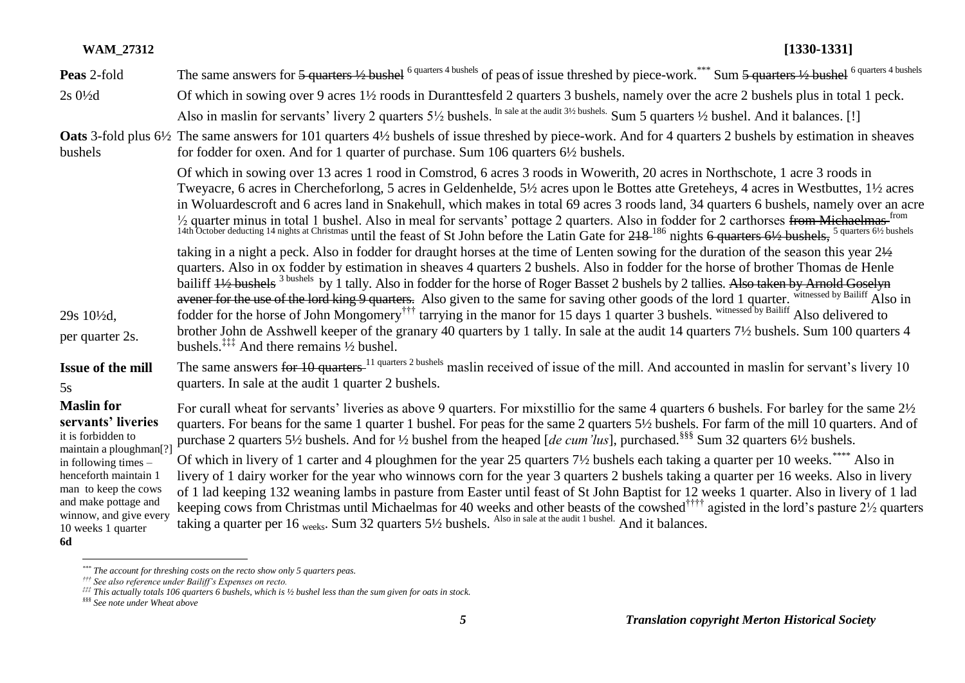| <b>WAM_27312</b>                                                                                                                                                                                                                                       | $[1330-1331]$                                                                                                                                                                                                                                                                                                                                                                                                                                                                                                                                                                                                                                                                                                                                                                                                                                                                                                                                                                                                                                                                                                                                                                   |
|--------------------------------------------------------------------------------------------------------------------------------------------------------------------------------------------------------------------------------------------------------|---------------------------------------------------------------------------------------------------------------------------------------------------------------------------------------------------------------------------------------------------------------------------------------------------------------------------------------------------------------------------------------------------------------------------------------------------------------------------------------------------------------------------------------------------------------------------------------------------------------------------------------------------------------------------------------------------------------------------------------------------------------------------------------------------------------------------------------------------------------------------------------------------------------------------------------------------------------------------------------------------------------------------------------------------------------------------------------------------------------------------------------------------------------------------------|
| Peas 2-fold                                                                                                                                                                                                                                            | The same answers for 5 quarters 1/2 bushel <sup>6 quarters 4 bushels</sup> of peas of issue threshed by piece-work. <sup>***</sup> Sum 5 quarters 1/2 bushel <sup>6 quarters 4 bushels</sup>                                                                                                                                                                                                                                                                                                                                                                                                                                                                                                                                                                                                                                                                                                                                                                                                                                                                                                                                                                                    |
| $2s0\frac{1}{2}d$                                                                                                                                                                                                                                      | Of which in sowing over 9 acres 1½ roods in Duranttesfeld 2 quarters 3 bushels, namely over the acre 2 bushels plus in total 1 peck.                                                                                                                                                                                                                                                                                                                                                                                                                                                                                                                                                                                                                                                                                                                                                                                                                                                                                                                                                                                                                                            |
|                                                                                                                                                                                                                                                        | Also in maslin for servants' livery 2 quarters 5 <sup>1/2</sup> bushels. In sale at the audit 3 <sup>1/2</sup> bushels. Sum 5 quarters <sup>1/2</sup> bushel. And it balances. [!]                                                                                                                                                                                                                                                                                                                                                                                                                                                                                                                                                                                                                                                                                                                                                                                                                                                                                                                                                                                              |
| bushels                                                                                                                                                                                                                                                | <b>Oats</b> 3-fold plus 6 <sup>1/2</sup> The same answers for 101 quarters 4 <sup>1</sup> / <sub>2</sub> bushels of issue threshed by piece-work. And for 4 quarters 2 bushels by estimation in sheaves<br>for fodder for oxen. And for 1 quarter of purchase. Sum 106 quarters 6½ bushels.                                                                                                                                                                                                                                                                                                                                                                                                                                                                                                                                                                                                                                                                                                                                                                                                                                                                                     |
|                                                                                                                                                                                                                                                        | Of which in sowing over 13 acres 1 rood in Comstrod, 6 acres 3 roods in Wowerith, 20 acres in Northschote, 1 acre 3 roods in<br>Tweyacre, 6 acres in Chercheforlong, 5 acres in Geldenhelde, 5½ acres upon le Bottes atte Greteheys, 4 acres in Westbuttes, 1½ acres<br>in Woluardescroft and 6 acres land in Snakehull, which makes in total 69 acres 3 roods land, 34 quarters 6 bushels, namely over an acre<br>$\frac{1}{2}$ quarter minus in total 1 bushel. Also in meal for servants' pottage 2 quarters. Also in fodder for 2 carthorses from Michaelmas- <sup>from</sup> 14th October deducting 14 nights at Christmas until the feast of St John bef                                                                                                                                                                                                                                                                                                                                                                                                                                                                                                                  |
|                                                                                                                                                                                                                                                        | taking in a night a peck. Also in fodder for draught horses at the time of Lenten sowing for the duration of the season this year 21/2<br>quarters. Also in ox fodder by estimation in sheaves 4 quarters 2 bushels. Also in fodder for the horse of brother Thomas de Henle<br>bailiff 4½ bushels <sup>3 bushels</sup> by 1 tally. Also in fodder for the horse of Roger Basset 2 bushels by 2 tallies. Also taken by Arnold Goselyn<br>avener for the use of the lord king 9 quarters. Also given to the same for saving other goods of the lord 1 quarter. withessed by Bailiff Also in                                                                                                                                                                                                                                                                                                                                                                                                                                                                                                                                                                                      |
| 29s 10 <sup>1</sup> / <sub>2</sub> d,                                                                                                                                                                                                                  | fodder for the horse of John Mongomery <sup>†††</sup> tarrying in the manor for 15 days 1 quarter 3 bushels. withessed by Bailiff Also delivered to                                                                                                                                                                                                                                                                                                                                                                                                                                                                                                                                                                                                                                                                                                                                                                                                                                                                                                                                                                                                                             |
| per quarter 2s.                                                                                                                                                                                                                                        | brother John de Asshwell keeper of the granary 40 quarters by 1 tally. In sale at the audit 14 quarters 7½ bushels. Sum 100 quarters 4<br>bushels. <sup><math>\ddagger\ddagger\ddagger</math></sup> And there remains $\frac{1}{2}$ bushel.                                                                                                                                                                                                                                                                                                                                                                                                                                                                                                                                                                                                                                                                                                                                                                                                                                                                                                                                     |
| Issue of the mill<br>5s                                                                                                                                                                                                                                | The same answers for 10 quarters <sup>11 quarters 2 bushels</sup> maslin received of issue of the mill. And accounted in maslin for servant's livery 10<br>quarters. In sale at the audit 1 quarter 2 bushels.                                                                                                                                                                                                                                                                                                                                                                                                                                                                                                                                                                                                                                                                                                                                                                                                                                                                                                                                                                  |
| <b>Maslin</b> for<br>servants' liveries<br>it is forbidden to<br>maintain a ploughman[?]<br>in following times -<br>henceforth maintain 1<br>man to keep the cows<br>and make pottage and<br>winnow, and give every<br>10 weeks 1 quarter<br><b>6d</b> | For curall wheat for servants' liveries as above 9 quarters. For mixstillio for the same 4 quarters 6 bushels. For barley for the same $2\frac{1}{2}$<br>quarters. For beans for the same 1 quarter 1 bushel. For peas for the same 2 quarters 5½ bushels. For farm of the mill 10 quarters. And of<br>purchase 2 quarters 51/2 bushels. And for 1/2 bushel from the heaped [de cum 'lus], purchased. <sup>§§§</sup> Sum 32 quarters 61/2 bushels.<br>Of which in livery of 1 carter and 4 ploughmen for the year 25 quarters 7½ bushels each taking a quarter per 10 weeks. <sup>****</sup> Also in<br>livery of 1 dairy worker for the year who winnows corn for the year 3 quarters 2 bushels taking a quarter per 16 weeks. Also in livery<br>of 1 lad keeping 132 weaning lambs in pasture from Easter until feast of St John Baptist for 12 weeks 1 quarter. Also in livery of 1 lad<br>keeping cows from Christmas until Michaelmas for 40 weeks and other beasts of the cowshed <sup>††††</sup> agisted in the lord's pasture 2 <sup>1</sup> / <sub>2</sub> quarters taking a quarter per 16 weeks. Sum 32 quarters 5 <sup>1</sup> / <sub>2</sub> bushels. Also in sale |
|                                                                                                                                                                                                                                                        |                                                                                                                                                                                                                                                                                                                                                                                                                                                                                                                                                                                                                                                                                                                                                                                                                                                                                                                                                                                                                                                                                                                                                                                 |

*<sup>\*\*\*</sup> The account for threshing costs on the recto show only 5 quarters peas.*

*<sup>†††</sup> See also reference under Bailiff's Expenses on recto.*

*<sup>‡‡‡</sup> This actually totals 106 quarters 6 bushels, which is ½ bushel less than the sum given for oats in stock.*

*<sup>§§§</sup> See note under Wheat above*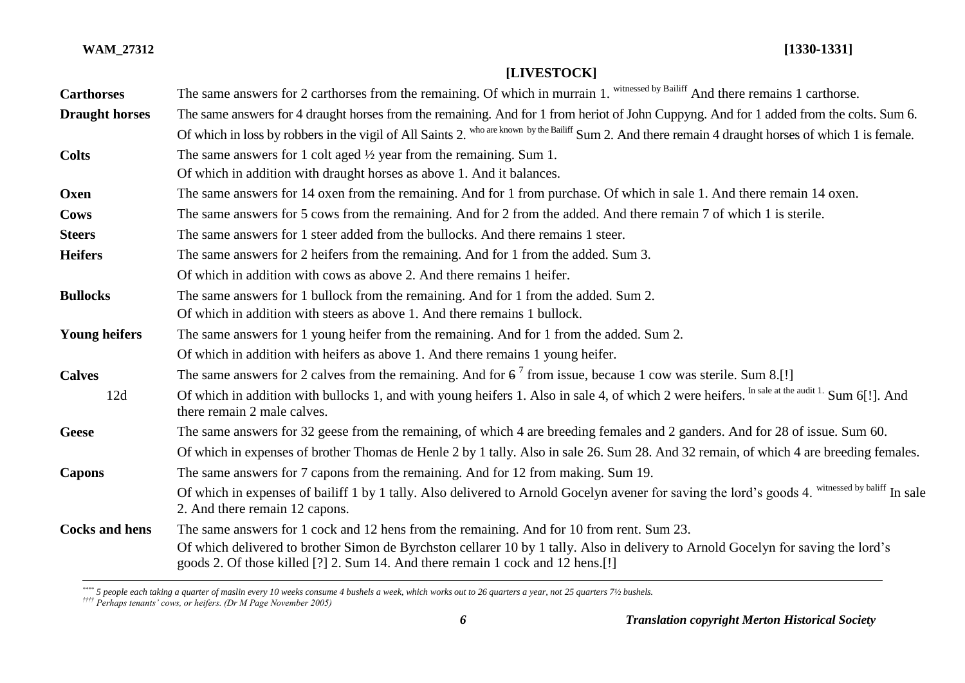# **[LIVESTOCK]**

| <b>Carthorses</b>     | The same answers for 2 carthorses from the remaining. Of which in murrain 1. witnessed by Bailiff And there remains 1 carthorse.                                                                                                                                                                                  |
|-----------------------|-------------------------------------------------------------------------------------------------------------------------------------------------------------------------------------------------------------------------------------------------------------------------------------------------------------------|
| <b>Draught horses</b> | The same answers for 4 draught horses from the remaining. And for 1 from heriot of John Cuppyng. And for 1 added from the colts. Sum 6.<br>Of which in loss by robbers in the vigil of All Saints 2. who are known by the Bailiff Sum 2. And there remain 4 draught horses of which 1 is female.                  |
| <b>Colts</b>          | The same answers for 1 colt aged $\frac{1}{2}$ year from the remaining. Sum 1.<br>Of which in addition with draught horses as above 1. And it balances.                                                                                                                                                           |
| Oxen                  | The same answers for 14 oxen from the remaining. And for 1 from purchase. Of which in sale 1. And there remain 14 oxen.                                                                                                                                                                                           |
| Cows                  | The same answers for 5 cows from the remaining. And for 2 from the added. And there remain 7 of which 1 is sterile.                                                                                                                                                                                               |
| <b>Steers</b>         | The same answers for 1 steer added from the bullocks. And there remains 1 steer.                                                                                                                                                                                                                                  |
| <b>Heifers</b>        | The same answers for 2 heifers from the remaining. And for 1 from the added. Sum 3.                                                                                                                                                                                                                               |
|                       | Of which in addition with cows as above 2. And there remains 1 heifer.                                                                                                                                                                                                                                            |
| <b>Bullocks</b>       | The same answers for 1 bullock from the remaining. And for 1 from the added. Sum 2.<br>Of which in addition with steers as above 1. And there remains 1 bullock.                                                                                                                                                  |
| <b>Young heifers</b>  | The same answers for 1 young heifer from the remaining. And for 1 from the added. Sum 2.                                                                                                                                                                                                                          |
|                       | Of which in addition with heifers as above 1. And there remains 1 young heifer.                                                                                                                                                                                                                                   |
| <b>Calves</b>         | The same answers for 2 calves from the remaining. And for $6^7$ from issue, because 1 cow was sterile. Sum 8.[!]                                                                                                                                                                                                  |
| 12d                   | Of which in addition with bullocks 1, and with young heifers 1. Also in sale 4, of which 2 were heifers. In sale at the audit 1. Sum 6[!]. And<br>there remain 2 male calves.                                                                                                                                     |
| <b>Geese</b>          | The same answers for 32 geese from the remaining, of which 4 are breeding females and 2 ganders. And for 28 of issue. Sum 60.                                                                                                                                                                                     |
|                       | Of which in expenses of brother Thomas de Henle 2 by 1 tally. Also in sale 26. Sum 28. And 32 remain, of which 4 are breeding females.                                                                                                                                                                            |
| <b>Capons</b>         | The same answers for 7 capons from the remaining. And for 12 from making. Sum 19.                                                                                                                                                                                                                                 |
|                       | Of which in expenses of bailiff 1 by 1 tally. Also delivered to Arnold Gocelyn avener for saving the lord's goods 4. witnessed by baliff In sale<br>2. And there remain 12 capons.                                                                                                                                |
| <b>Cocks and hens</b> | The same answers for 1 cock and 12 hens from the remaining. And for 10 from rent. Sum 23.<br>Of which delivered to brother Simon de Byrchston cellarer 10 by 1 tally. Also in delivery to Arnold Gocelyn for saving the lord's<br>goods 2. Of those killed [?] 2. Sum 14. And there remain 1 cock and 12 hens.[!] |

*<sup>\*\*\*\*</sup> 5 people each taking a quarter of maslin every 10 weeks consume 4 bushels a week, which works out to 26 quarters a year, not 25 quarters 7½ bushels.*

 $\overline{a}$ 

*<sup>††††</sup> Perhaps tenants' cows, or heifers. (Dr M Page November 2005)*